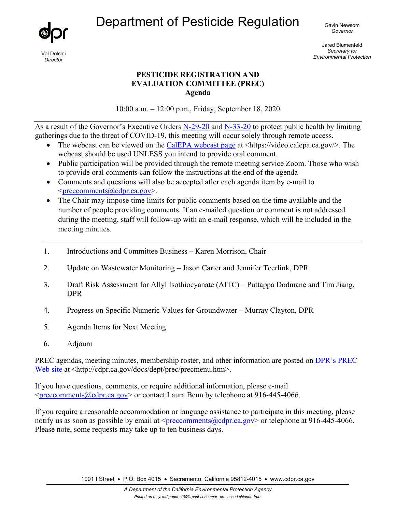Department of Pesticide Regulation <sub>Gavin Newsom</sub>



Val Dolcini *Director*

*Governor* 

Jared Blumenfeld *Secretary for Environmental Protection*

## **PESTICIDE REGISTRATION AND EVALUATION COMMITTEE (PREC) Agenda**

10:00 a.m. – 12:00 p.m., Friday, September 18, 2020

As a result of the Governor's Executive Orders [N-29-20](https://www.gov.ca.gov/wp-content/uploads/2020/03/3.17.20-N-29-20-EO.pdf) and [N-33-20](https://www.gov.ca.gov/wp-content/uploads/2020/03/3.19.20-attested-EO-N-33-20-COVID-19-HEALTH-ORDER.pdf) to protect public health by limiting gatherings due to the threat of COVID-19, this meeting will occur solely through remote access.

- The webcast can be viewed on the [CalEPA webcast page](https://video.calepa.ca.gov/) at  $\langle$ https://video.calepa.ca.gov/>. The webcast should be used UNLESS you intend to provide oral comment.
- Public participation will be provided through the remote meeting service Zoom. Those who wish to provide oral comments can follow the instructions at the end of the agenda
- Comments and questions will also be accepted after each agenda item by e-mail to  $\leq$ preccomments@cdpr.ca.gov>.
- The Chair may impose time limits for public comments based on the time available and the number of people providing comments. If an e-mailed question or comment is not addressed during the meeting, staff will follow-up with an e-mail response, which will be included in the meeting minutes.
- 1. Introductions and Committee Business Karen Morrison, Chair
- 2. Update on Wastewater Monitoring Jason Carter and Jennifer Teerlink, DPR
- 3. Draft Risk Assessment for Allyl Isothiocyanate (AITC) Puttappa Dodmane and Tim Jiang, DPR
- 4. Progress on Specific Numeric Values for Groundwater Murray Clayton, DPR
- 5. Agenda Items for Next Meeting
- 6. Adjourn

PREC agendas, meeting minutes, membership roster, and other information are posted on [DPR's PREC](http://cdpr.ca.gov/docs/dept/prec/precmenu.htm) [Web site](http://cdpr.ca.gov/docs/dept/prec/precmenu.htm) at <http://cdpr.ca.gov/docs/dept/prec/precmenu.htm>.

If you have questions, comments, or require additional information, please e-mail [<preccomments@cdpr.ca.gov>](mailto:preccomments@cdpr.ca.gov) or contact Laura Benn by telephone at 916-445-4066.

If you require a reasonable accommodation or language assistance to participate in this meeting, please notify us as soon as possible by email at  $\langle$ preccomments@cdpr.ca.gov> or telephone at 916-445-4066. Please note, some requests may take up to ten business days.

1001 I Street • P.O. Box 4015 • Sacramento, California 95812-4015 • www.cdpr.ca.gov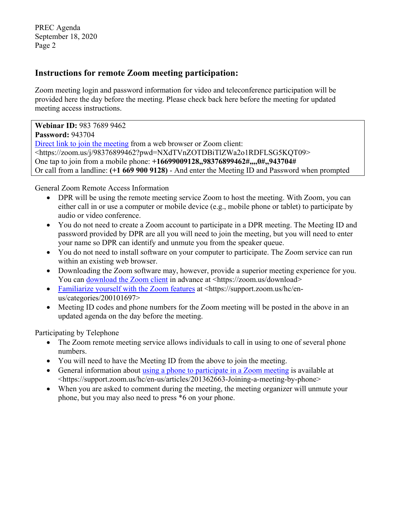PREC Agenda September 18, 2020 Page 2

## **Instructions for remote Zoom meeting participation:**

Zoom meeting login and password information for video and teleconference participation will be provided here the day before the meeting. Please check back here before the meeting for updated meeting access instructions.

**Webinar ID:** 983 7689 9462 **Password:** 943704 [Direct link to join the meeting](https://zoom.us/j/98376899462?pwd=NXdTVnZOTDBiTlZWa2o1RDFLSG5KQT09) from a web browser or Zoom client: <https://zoom.us/j/98376899462?pwd=NXdTVnZOTDBiTlZWa2o1RDFLSG5KQT09> One tap to join from a mobile phone: **+16699009128,,98376899462#,,,,0#,,943704#** Or call from a landline: **(+1 669 900 9128)** - And enter the Meeting ID and Password when prompted

General Zoom Remote Access Information

- DPR will be using the remote meeting service Zoom to host the meeting. With Zoom, you can either call in or use a computer or mobile device (e.g., mobile phone or tablet) to participate by audio or video conference.
- You do not need to create a Zoom account to participate in a DPR meeting. The Meeting ID and password provided by DPR are all you will need to join the meeting, but you will need to enter your name so DPR can identify and unmute you from the speaker queue.
- You do not need to install software on your computer to participate. The Zoom service can run within an existing web browser.
- Downloading the Zoom software may, however, provide a superior meeting experience for you. You can [download the Zoom client](https://zoom.us/download) in advance at <https://zoom.us/download>
- [Familiarize yourself with the Zoom features](https://support.zoom.us/hc/en-us/categories/200101697) at <https://support.zoom.us/hc/enus/categories/200101697>
- Meeting ID codes and phone numbers for the Zoom meeting will be posted in the above in an updated agenda on the day before the meeting.

Participating by Telephone

- The Zoom remote meeting service allows individuals to call in using to one of several phone numbers.
- You will need to have the Meeting ID from the above to join the meeting.
- General information about [using a phone to participate in a Zoom meeting](https://support.zoom.us/hc/en-us/articles/201362663-Joining-a-meeting-by-phone) is available at <https://support.zoom.us/hc/en-us/articles/201362663-Joining-a-meeting-by-phone>
- When you are asked to comment during the meeting, the meeting organizer will unmute your phone, but you may also need to press \*6 on your phone.